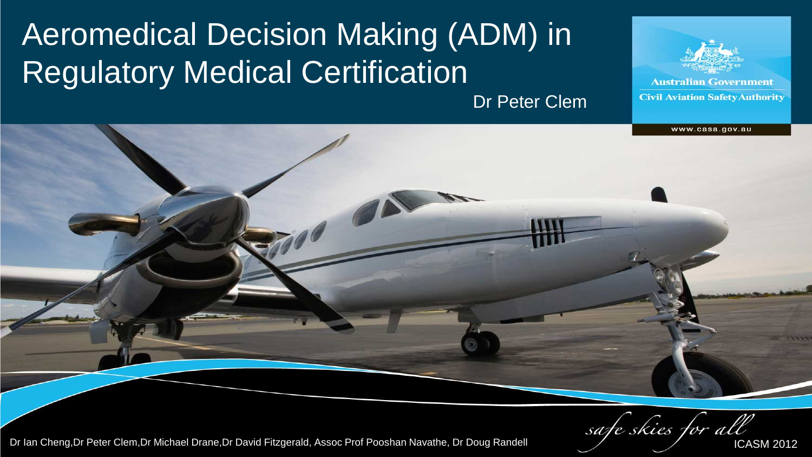#### Aeromedical Decision Making (ADM) in Regulatory Medical Certification

Dr Peter Clem

**Australian Government Civil Aviation Safety Authority** 

www.casa.gov.au

safe skies for al.

Dr Ian Cheng,Dr Peter Clem,Dr Michael Drane,Dr David Fitzgerald, Assoc Prof Pooshan Navathe, Dr Doug Randell **ICASM 2012** ICASM 2012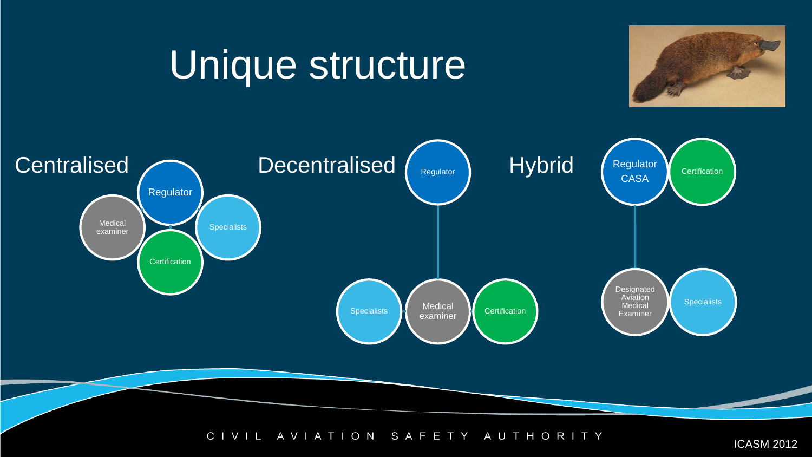# Unique structure





 $C<sub>1</sub>$ AVIATION SAFETY AUTHORITY VIL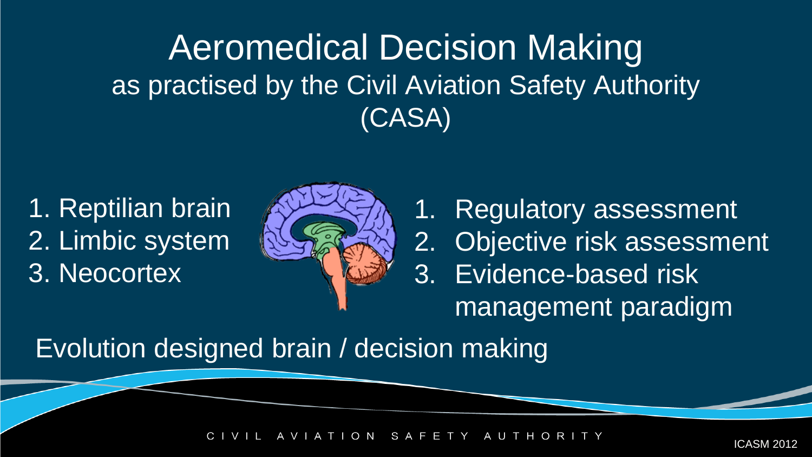#### Aeromedical Decision Making as practised by the Civil Aviation Safety Authority (CASA)

1. Reptilian brain 2. Limbic system 3. Neocortex



1. Regulatory assessment 2. Objective risk assessment 3. Evidence-based risk management paradigm

Evolution designed brain / decision making

TION SAFETY AUTH  $\circ$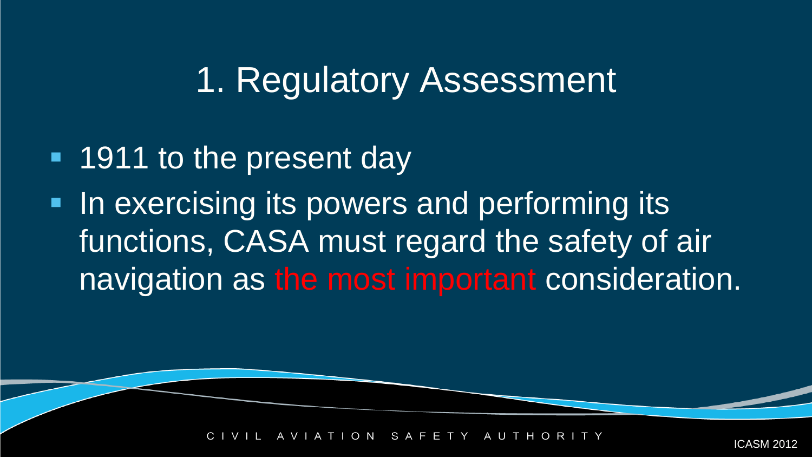- **1911 to the present day**
- **IF In exercising its powers and performing its** functions, CASA must regard the safety of air navigation as the most important consideration.

 $O$  N S A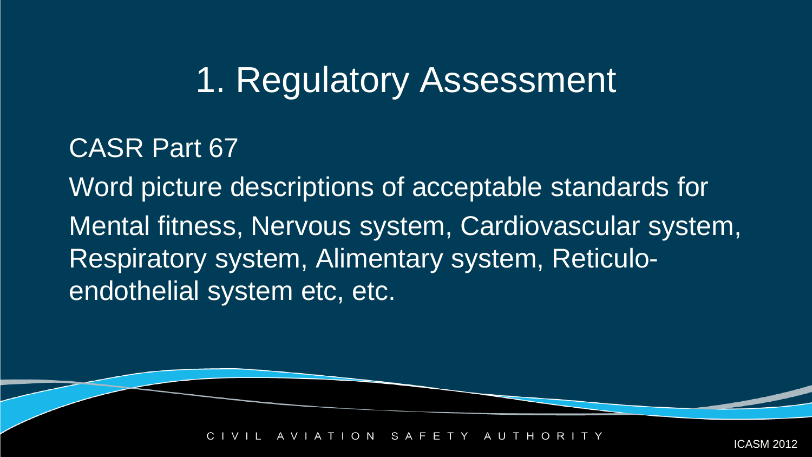#### CASR Part 67

Word picture descriptions of acceptable standards for Mental fitness, Nervous system, Cardiovascular system, Respiratory system, Alimentary system, Reticuloendothelial system etc, etc.

> $I$  O N SAFETY AU.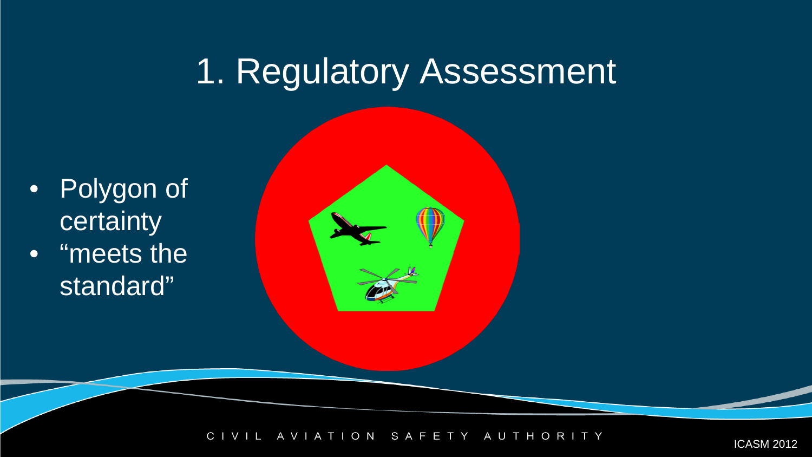- Polygon of certainty
- "meets the standard"

TION SAFETY  $\mathsf{C}$ AUTHORITY AVIA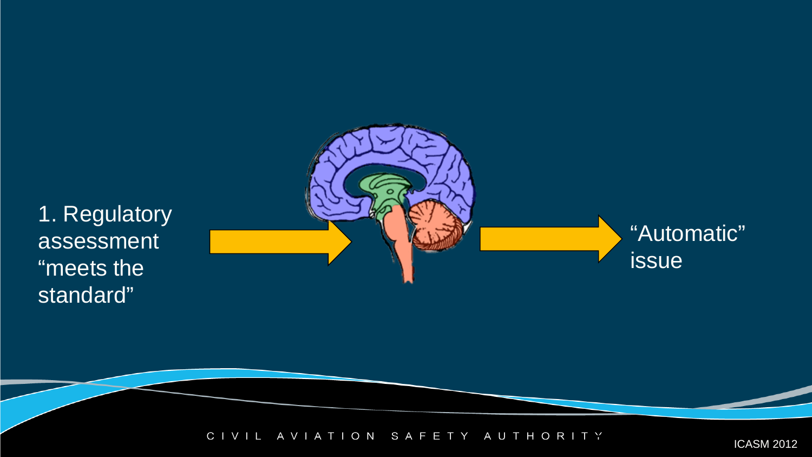

CIVIL AVIATION SAFETY AUTHORITY ICASM 2012

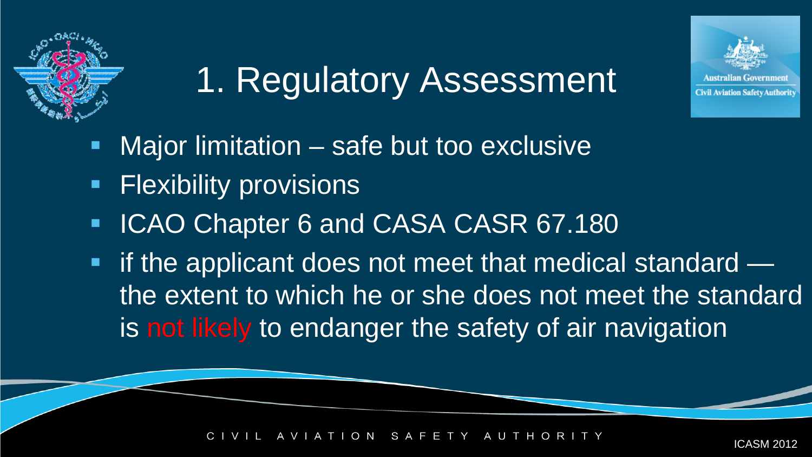

- Major limitation safe but too exclusive
- **Flexibility provisions**
- **ICAO Chapter 6 and CASA CASR 67.180**
- if the applicant does not meet that medical standard the extent to which he or she does not meet the standard is not likely to endanger the safety of air navigation

ICASM 2012

**Civil Aviation Safety Authorit** 

O N S A F 2 AU T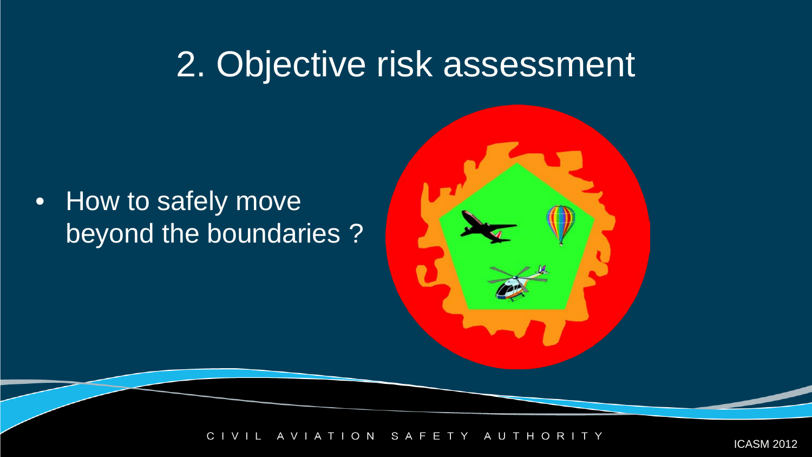• How to safely move beyond the boundaries ?

> ION SAFETY  $\mathsf{C}$ AUTHORI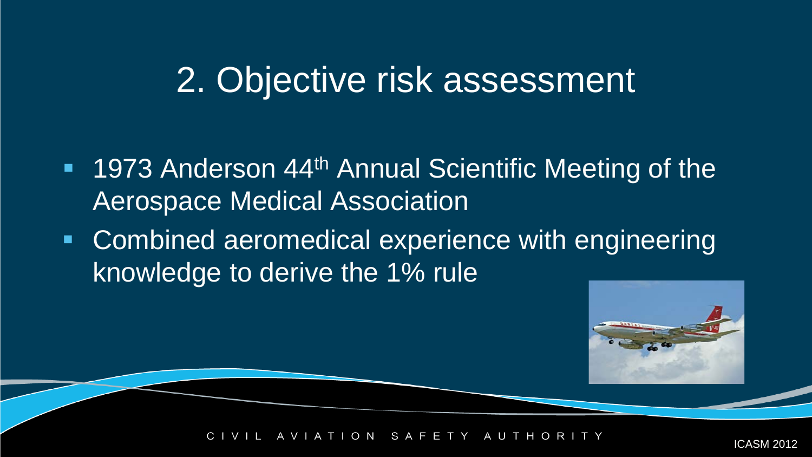- 1973 Anderson 44<sup>th</sup> Annual Scientific Meeting of the Aerospace Medical Association
- Combined aeromedical experience with engineering knowledge to derive the 1% rule



O N S A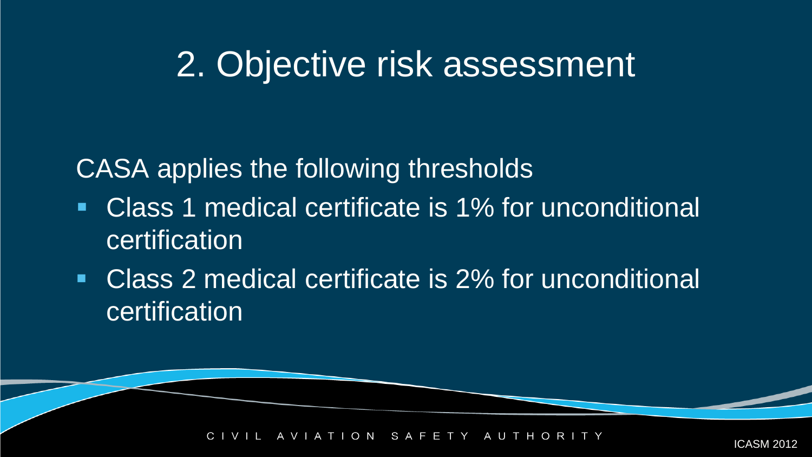CASA applies the following thresholds

- Class 1 medical certificate is 1% for unconditional certification
- Class 2 medical certificate is 2% for unconditional certification

 $O$  N SAFETY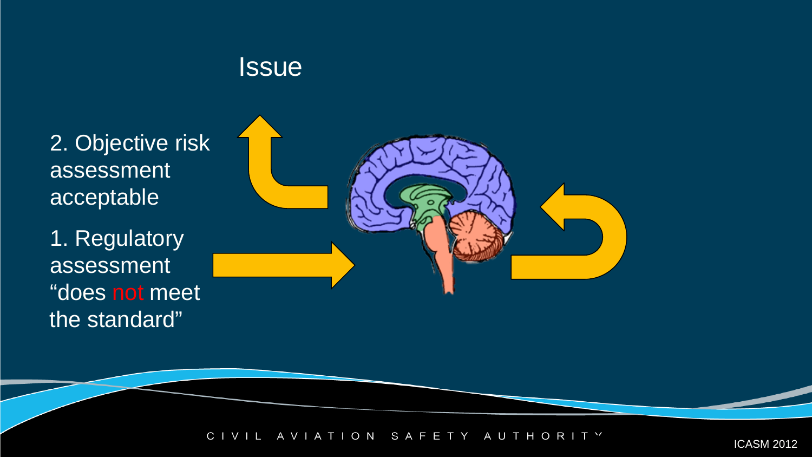#### **Issue**

2. Objective risk assessment acceptable

1. Regulatory assessment "does not meet the standard"



A VIATION SAFETY AUTHORITY ICASM 2012  $C<sub>1</sub>$ VIL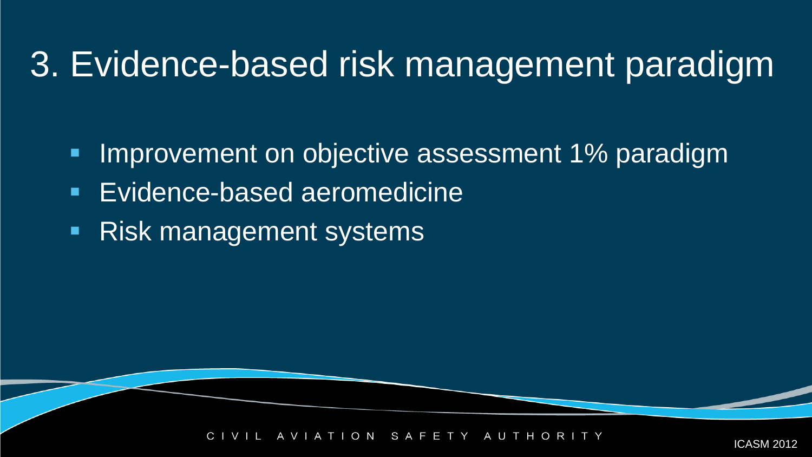## 3. Evidence-based risk management paradigm

- **Improvement on objective assessment 1% paradigm**
- **Evidence-based aeromedicine**
- **Risk management systems**

S A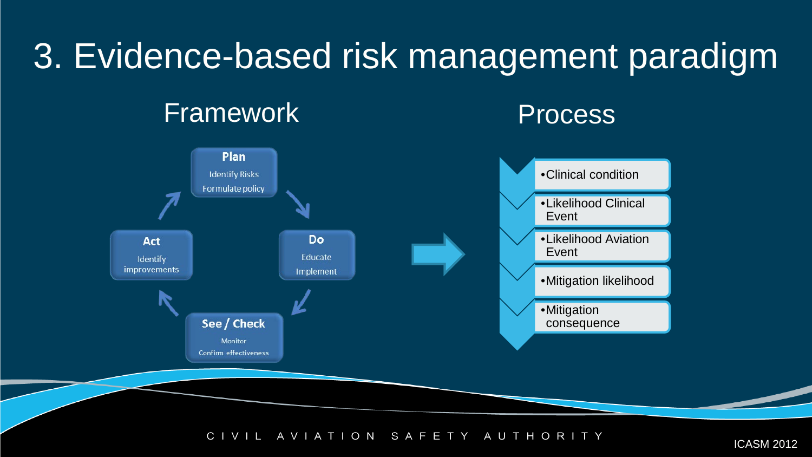# 3. Evidence-based risk management paradigm Framework **Process**



AVIATION SAFETY  $C<sub>1</sub>$ AUTHORITY VIL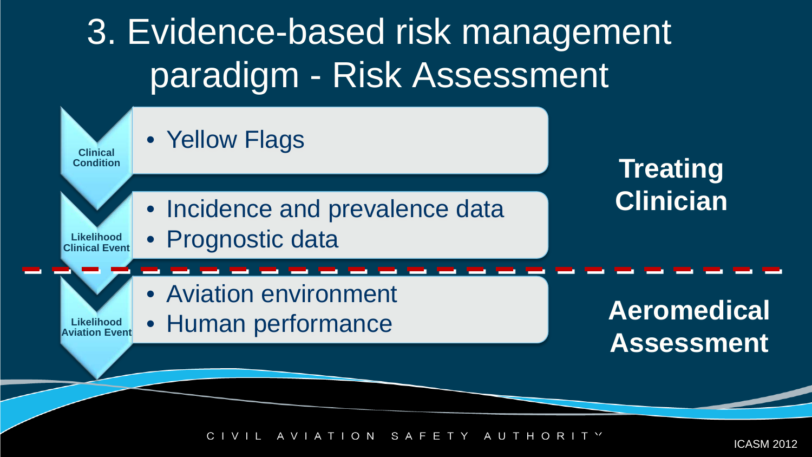

TION SAFETY AUTHORI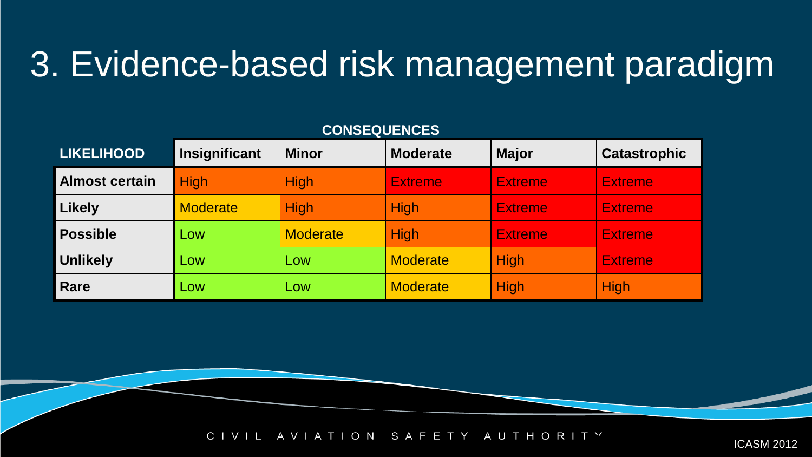## 3. Evidence-based risk management paradigm

#### **LIKELIHOOD Insignificant Minor Moderate Major Catastrophic Almost certain** High High Extreme Extreme Extreme Extreme Li**kely** <mark>Moderate High High <mark>Extreme Extreme</mark></mark> **Possible** Low Moderate High Extreme Extreme **Unlikely <mark>L</mark>ow Low <mark>Moderate High </mark>Extreme** Rare **Low Low Low Moderate High High** High

#### **CONSEQUENCES**

 $C<sub>1</sub>$  $V \perp$ AVIATION SAFETY A U T H O R I T Y ICASM 2012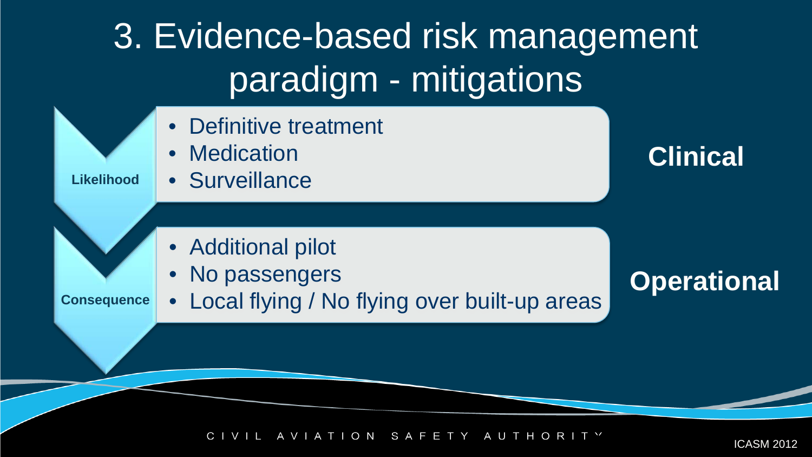3. Evidence-based risk management paradigm - mitigations

- Definitive treatment
- **Medication**

**Likelihood** • Surveillance

- Additional pilot
- No passengers

**Consequence**

• Local flying / No flying over built-up areas

**Clinical**

**Operational**

TION SAFETY A U T H  $\circ$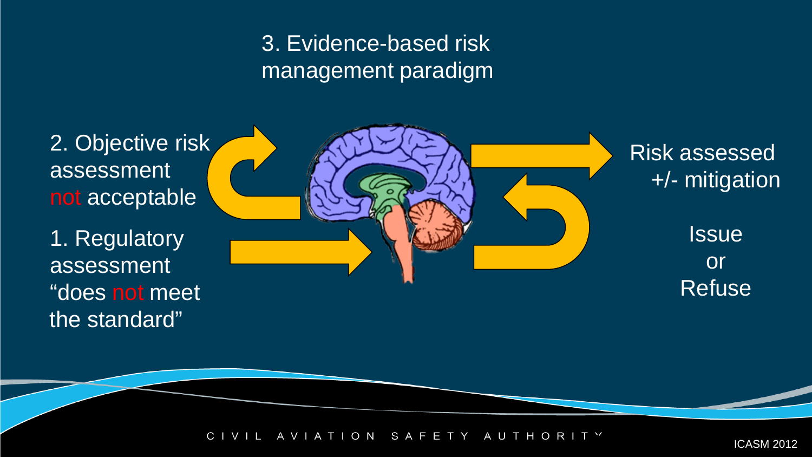#### 3. Evidence-based risk management paradigm



ION SAFETY AUTHORI C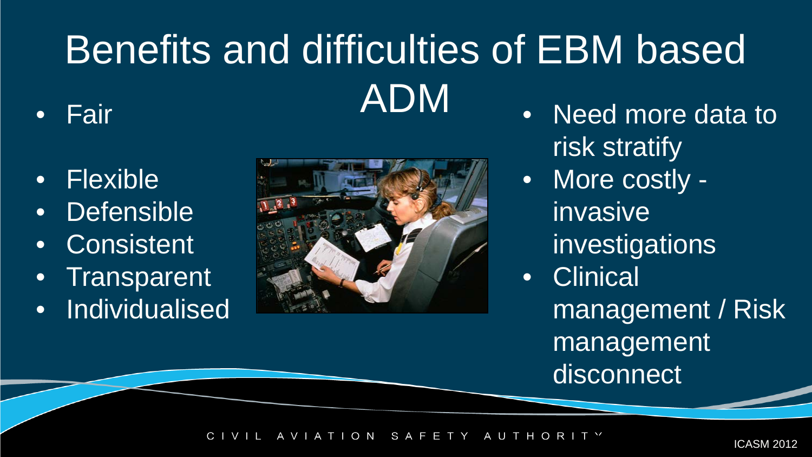# Benefits and difficulties of EBM based • Fair **ADM**

- Flexible
- Defensible
- Consistent
- Transparent
- Individualised



- Need more data to risk stratify
- More costly invasive investigations
- Clinical
	- management / Risk management disconnect

TION SAFETY AUTHORI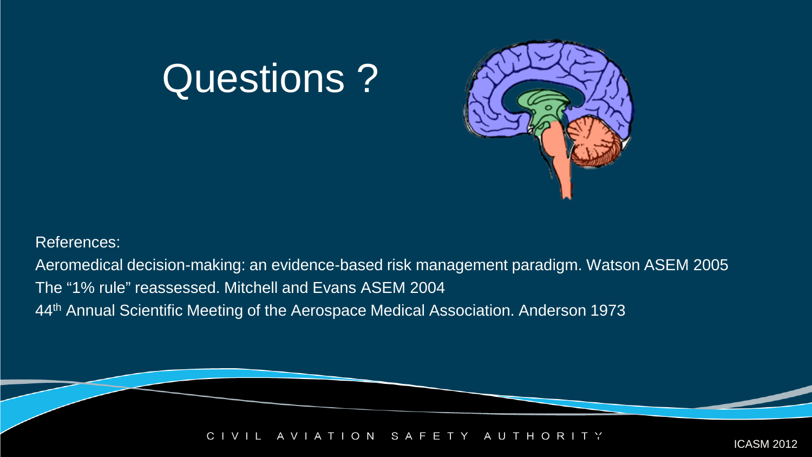# Questions ?



References:

Aeromedical decision-making: an evidence-based risk management paradigm. Watson ASEM 2005 The "1% rule" reassessed. Mitchell and Evans ASEM 2004 44th Annual Scientific Meeting of the Aerospace Medical Association. Anderson 1973

> AVIATION SAFETY AUTHORI  $\mathsf{C}$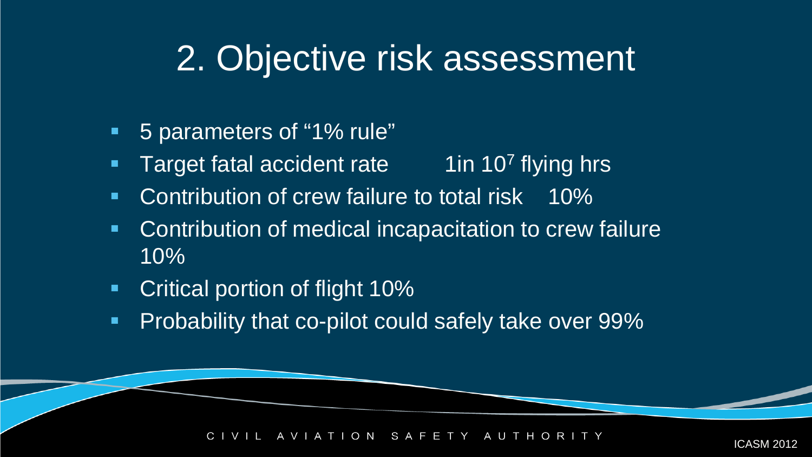- 5 parameters of "1% rule"
- Target fatal accident rate  $\overline{1}$  1  $\overline{107}$  flying hrs
- **Contribution of crew failure to total risk** 10%
- **Contribution of medical incapacitation to crew failure** 10%
- **Critical portion of flight 10%**
- **Probability that co-pilot could safely take over 99%**

 $O$  N S A F 2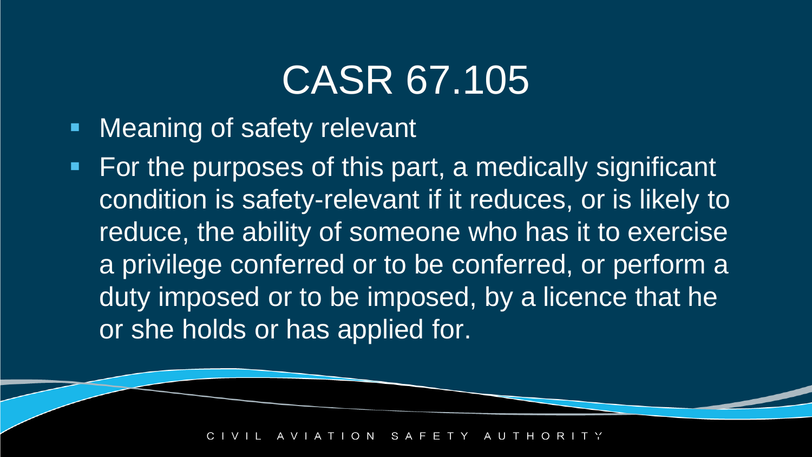# CASR 67.105

- **Neaning of safety relevant**
- For the purposes of this part, a medically significant condition is safety-relevant if it reduces, or is likely to reduce, the ability of someone who has it to exercise a privilege conferred or to be conferred, or perform a duty imposed or to be imposed, by a licence that he or she holds or has applied for.